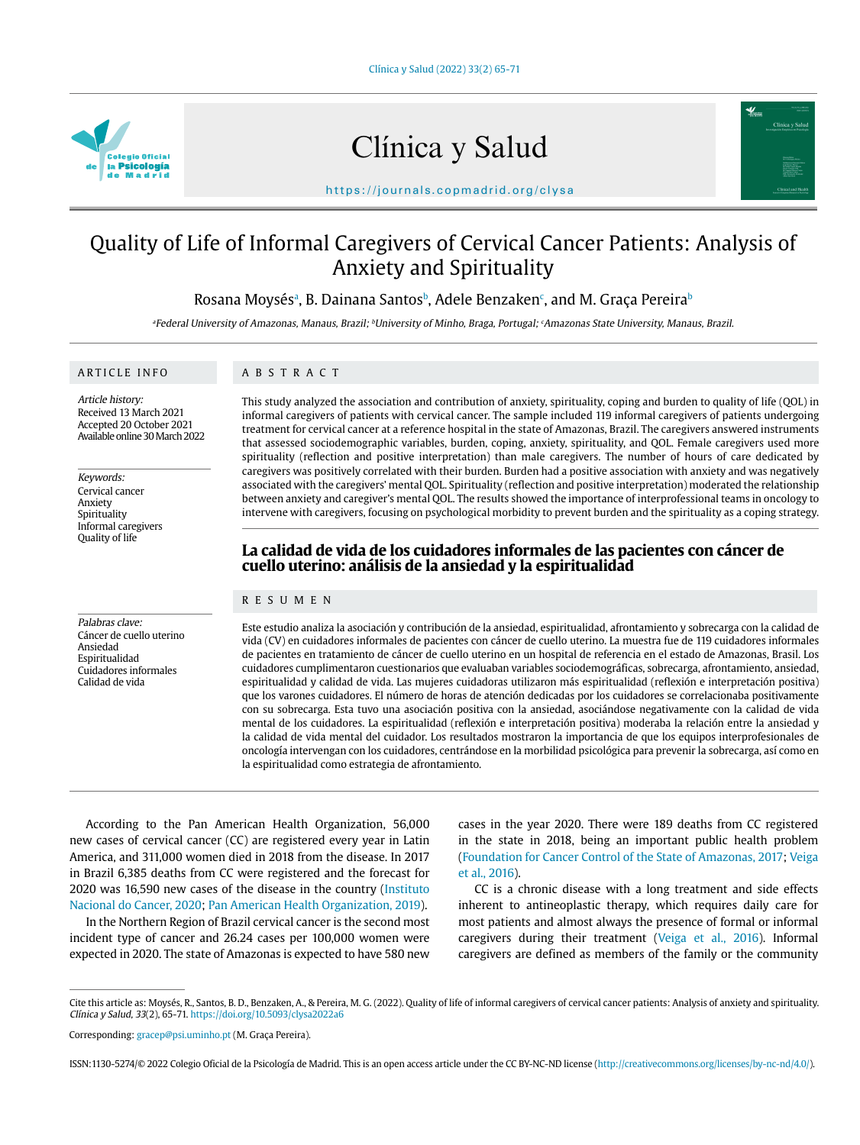

# Clínica y Salud



https://journals.copmadrid.org/clysa

# Quality of Life of Informal Caregivers of Cervical Cancer Patients: Analysis of Anxiety and Spirituality

Rosana Moysésª, B. Dainana Santosʰ, Adele Benzaken¢, and M. Graça Pereiraʰ

<sup>a</sup>Federal University of Amazonas, Manaus, Brazil; <sup>b</sup>University of Minho, Braga, Portugal; <sup>c</sup>Amazonas State University, Manaus, Brazil.

#### ARTICLE INFO

# ABSTRACT

Article history: Received 13 March 2021 Accepted 20 October 2021 Available online 30 March 2022

Keywords: Cervical cancer Anxiety Spirituality Informal caregivers Quality of life

Palabras clave: Cáncer de cuello uterino Ansiedad Espiritualidad Cuidadores informales Calidad de vida

This study analyzed the association and contribution of anxiety, spirituality, coping and burden to quality of life (QOL) in informal caregivers of patients with cervical cancer. The sample included 119 informal caregivers of patients undergoing treatment for cervical cancer at a reference hospital in the state of Amazonas, Brazil. The caregivers answered instruments that assessed sociodemographic variables, burden, coping, anxiety, spirituality, and QOL. Female caregivers used more spirituality (reflection and positive interpretation) than male caregivers. The number of hours of care dedicated by caregivers was positively correlated with their burden. Burden had a positive association with anxiety and was negatively associated with the caregivers' mental QOL. Spirituality (reflection and positive interpretation) moderated the relationship between anxiety and caregiver's mental QOL. The results showed the importance of interprofessional teams in oncology to intervene with caregivers, focusing on psychological morbidity to prevent burden and the spirituality as a coping strategy.

# **La calidad de vida de los cuidadores informales de las pacientes con cáncer de cuello uterino: análisis de la ansiedad y la espiritualidad**

# RESUMEN

Este estudio analiza la asociación y contribución de la ansiedad, espiritualidad, afrontamiento y sobrecarga con la calidad de vida (CV) en cuidadores informales de pacientes con cáncer de cuello uterino. La muestra fue de 119 cuidadores informales de pacientes en tratamiento de cáncer de cuello uterino en un hospital de referencia en el estado de Amazonas, Brasil. Los cuidadores cumplimentaron cuestionarios que evaluaban variables sociodemográficas, sobrecarga, afrontamiento, ansiedad, espiritualidad y calidad de vida. Las mujeres cuidadoras utilizaron más espiritualidad (reflexión e interpretación positiva) que los varones cuidadores. El número de horas de atención dedicadas por los cuidadores se correlacionaba positivamente con su sobrecarga. Esta tuvo una asociación positiva con la ansiedad, asociándose negativamente con la calidad de vida mental de los cuidadores. La espiritualidad (reflexión e interpretación positiva) moderaba la relación entre la ansiedad y la calidad de vida mental del cuidador. Los resultados mostraron la importancia de que los equipos interprofesionales de oncología intervengan con los cuidadores, centrándose en la morbilidad psicológica para prevenir la sobrecarga, así como en la espiritualidad como estrategia de afrontamiento.

According to the Pan American Health Organization, 56,000 new cases of cervical cancer (CC) are registered every year in Latin America, and 311,000 women died in 2018 from the disease. In 2017 in Brazil 6,385 deaths from CC were registered and the forecast for 2020 was 16,590 new cases of the disease in the country (Instituto Nacional do Cancer, 2020; Pan American Health Organization, 2019).

In the Northern Region of Brazil cervical cancer is the second most incident type of cancer and 26.24 cases per 100,000 women were expected in 2020. The state of Amazonas is expected to have 580 new

cases in the year 2020. There were 189 deaths from CC registered in the state in 2018, being an important public health problem (Foundation for Cancer Control of the State of Amazonas, 2017; Veiga et al., 2016).

CC is a chronic disease with a long treatment and side effects inherent to antineoplastic therapy, which requires daily care for most patients and almost always the presence of formal or informal caregivers during their treatment (Veiga et al., 2016). Informal caregivers are defined as members of the family or the community

Cite this article as: Moysés, R., Santos, B. D., Benzaken, A., & Pereira, M. G. (2022). Quality of life of informal caregivers of cervical cancer patients: Analysis of anxiety and spirituality. Clínica y Salud, 33(2), 65-71. https://doi.org/10.5093/clysa2022a6

Corresponding: gracep@psi.uminho.pt (M. Graça Pereira).

ISSN:1130-5274/© 2022 Colegio Oficial de la Psicología de Madrid. This is an open access article under the CC BY-NC-ND license (http://creativecommons.org/licenses/by-nc-nd/4.0/).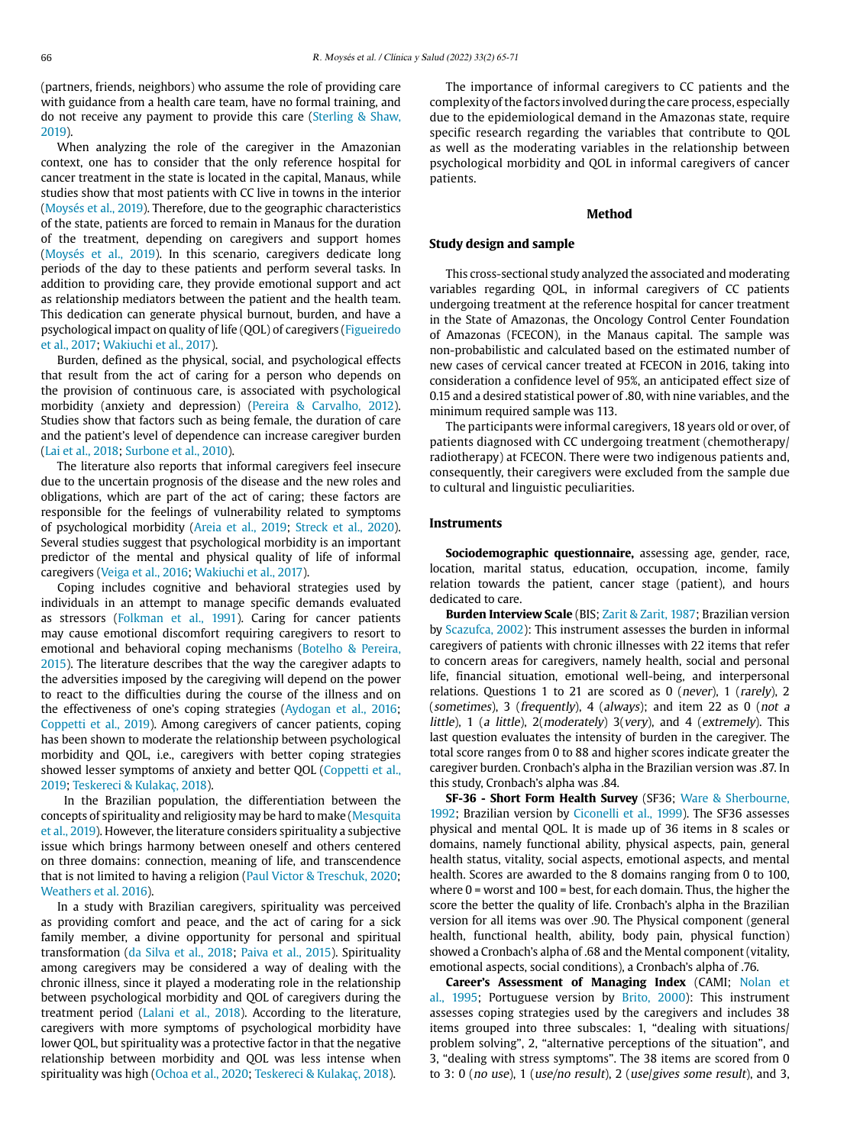(partners, friends, neighbors) who assume the role of providing care with guidance from a health care team, have no formal training, and do not receive any payment to provide this care (Sterling & Shaw, 2019).

When analyzing the role of the caregiver in the Amazonian context, one has to consider that the only reference hospital for cancer treatment in the state is located in the capital, Manaus, while studies show that most patients with CC live in towns in the interior (Moysés et al., 2019). Therefore, due to the geographic characteristics of the state, patients are forced to remain in Manaus for the duration of the treatment, depending on caregivers and support homes (Moysés et al., 2019). In this scenario, caregivers dedicate long periods of the day to these patients and perform several tasks. In addition to providing care, they provide emotional support and act as relationship mediators between the patient and the health team. This dedication can generate physical burnout, burden, and have a psychological impact on quality of life (QOL) of caregivers (Figueiredo et al., 2017; Wakiuchi et al., 2017).

Burden, defined as the physical, social, and psychological effects that result from the act of caring for a person who depends on the provision of continuous care, is associated with psychological morbidity (anxiety and depression) (Pereira & Carvalho, 2012). Studies show that factors such as being female, the duration of care and the patient's level of dependence can increase caregiver burden (Lai et al., 2018; Surbone et al., 2010).

The literature also reports that informal caregivers feel insecure due to the uncertain prognosis of the disease and the new roles and obligations, which are part of the act of caring; these factors are responsible for the feelings of vulnerability related to symptoms of psychological morbidity (Areia et al., 2019; Streck et al., 2020). Several studies suggest that psychological morbidity is an important predictor of the mental and physical quality of life of informal caregivers (Veiga et al., 2016; Wakiuchi et al., 2017).

Coping includes cognitive and behavioral strategies used by individuals in an attempt to manage specific demands evaluated as stressors (Folkman et al., 1991). Caring for cancer patients may cause emotional discomfort requiring caregivers to resort to emotional and behavioral coping mechanisms (Botelho & Pereira, 2015). The literature describes that the way the caregiver adapts to the adversities imposed by the caregiving will depend on the power to react to the difficulties during the course of the illness and on the effectiveness of one's coping strategies (Aydogan et al., 2016; Coppetti et al., 2019). Among caregivers of cancer patients, coping has been shown to moderate the relationship between psychological morbidity and QOL, i.e., caregivers with better coping strategies showed lesser symptoms of anxiety and better QOL (Coppetti et al., 2019; Teskereci & Kulakaç, 2018).

 In the Brazilian population, the differentiation between the concepts of spirituality and religiosity may be hard to make (Mesquita et al., 2019). However, the literature considers spirituality a subjective issue which brings harmony between oneself and others centered on three domains: connection, meaning of life, and transcendence that is not limited to having a religion (Paul Victor & Treschuk, 2020; Weathers et al. 2016).

In a study with Brazilian caregivers, spirituality was perceived as providing comfort and peace, and the act of caring for a sick family member, a divine opportunity for personal and spiritual transformation (da Silva et al., 2018; Paiva et al., 2015). Spirituality among caregivers may be considered a way of dealing with the chronic illness, since it played a moderating role in the relationship between psychological morbidity and QOL of caregivers during the treatment period (Lalani et al., 2018). According to the literature, caregivers with more symptoms of psychological morbidity have lower QOL, but spirituality was a protective factor in that the negative relationship between morbidity and QOL was less intense when spirituality was high (Ochoa et al., 2020; Teskereci & Kulakaç, 2018).

The importance of informal caregivers to CC patients and the complexity of the factors involved during the care process, especially due to the epidemiological demand in the Amazonas state, require specific research regarding the variables that contribute to QOL as well as the moderating variables in the relationship between psychological morbidity and QOL in informal caregivers of cancer patients.

## **Method**

#### **Study design and sample**

This cross-sectional study analyzed the associated and moderating variables regarding QOL, in informal caregivers of CC patients undergoing treatment at the reference hospital for cancer treatment in the State of Amazonas, the Oncology Control Center Foundation of Amazonas (FCECON), in the Manaus capital. The sample was non-probabilistic and calculated based on the estimated number of new cases of cervical cancer treated at FCECON in 2016, taking into consideration a confidence level of 95%, an anticipated effect size of 0.15 and a desired statistical power of .80, with nine variables, and the minimum required sample was 113.

The participants were informal caregivers, 18 years old or over, of patients diagnosed with CC undergoing treatment (chemotherapy/ radiotherapy) at FCECON. There were two indigenous patients and, consequently, their caregivers were excluded from the sample due to cultural and linguistic peculiarities.

#### **Instruments**

**Sociodemographic questionnaire,** assessing age, gender, race, location, marital status, education, occupation, income, family relation towards the patient, cancer stage (patient), and hours dedicated to care.

**Burden Interview Scale** (BIS; Zarit & Zarit, 1987; Brazilian version by Scazufca, 2002): This instrument assesses the burden in informal caregivers of patients with chronic illnesses with 22 items that refer to concern areas for caregivers, namely health, social and personal life, financial situation, emotional well-being, and interpersonal relations. Questions 1 to 21 are scored as 0 (never), 1 (rarely), 2 (sometimes), 3 (frequently), 4 (always); and item 22 as 0 (not a little), 1 (a little), 2(moderately) 3(very), and 4 (extremely). This last question evaluates the intensity of burden in the caregiver. The total score ranges from 0 to 88 and higher scores indicate greater the caregiver burden. Cronbach's alpha in the Brazilian version was .87. In this study, Cronbach's alpha was .84.

**SF-36 - Short Form Health Survey** (SF36; Ware & Sherbourne, 1992; Brazilian version by Ciconelli et al., 1999). The SF36 assesses physical and mental QOL. It is made up of 36 items in 8 scales or domains, namely functional ability, physical aspects, pain, general health status, vitality, social aspects, emotional aspects, and mental health. Scores are awarded to the 8 domains ranging from 0 to 100, where  $0 =$  worst and  $100 =$  best, for each domain. Thus, the higher the score the better the quality of life. Cronbach's alpha in the Brazilian version for all items was over .90. The Physical component (general health, functional health, ability, body pain, physical function) showed a Cronbach's alpha of .68 and the Mental component (vitality, emotional aspects, social conditions), a Cronbach's alpha of .76.

**Career's Assessment of Managing Index** (CAMI; Nolan et al., 1995; Portuguese version by Brito, 2000): This instrument assesses coping strategies used by the caregivers and includes 38 items grouped into three subscales: 1, "dealing with situations/ problem solving", 2, "alternative perceptions of the situation", and 3, "dealing with stress symptoms". The 38 items are scored from 0 to 3: 0 (no use), 1 (use/no result), 2 (use/gives some result), and 3,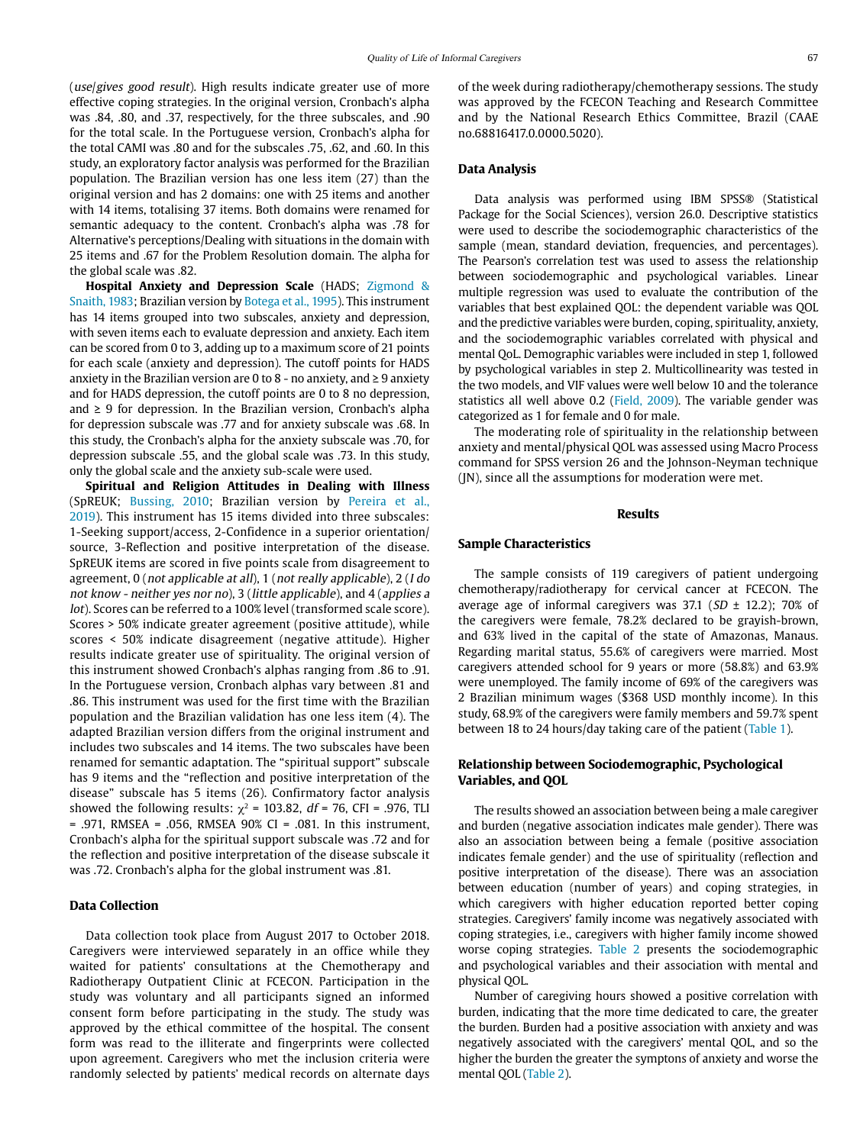(use/gives good result). High results indicate greater use of more effective coping strategies. In the original version, Cronbach's alpha was .84, .80, and .37, respectively, for the three subscales, and .90 for the total scale. In the Portuguese version, Cronbach's alpha for the total CAMI was .80 and for the subscales .75, .62, and .60. In this study, an exploratory factor analysis was performed for the Brazilian population. The Brazilian version has one less item (27) than the original version and has 2 domains: one with 25 items and another with 14 items, totalising 37 items. Both domains were renamed for semantic adequacy to the content. Cronbach's alpha was .78 for Alternative's perceptions/Dealing with situations in the domain with 25 items and .67 for the Problem Resolution domain. The alpha for the global scale was .82.

**Hospital Anxiety and Depression Scale** (HADS; Zigmond & Snaith, 1983; Brazilian version by Botega et al., 1995). This instrument has 14 items grouped into two subscales, anxiety and depression, with seven items each to evaluate depression and anxiety. Each item can be scored from 0 to 3, adding up to a maximum score of 21 points for each scale (anxiety and depression). The cutoff points for HADS anxiety in the Brazilian version are 0 to 8 - no anxiety, and  $\geq$  9 anxiety and for HADS depression, the cutoff points are 0 to 8 no depression, and  $\geq 9$  for depression. In the Brazilian version, Cronbach's alpha for depression subscale was .77 and for anxiety subscale was .68. In this study, the Cronbach's alpha for the anxiety subscale was .70, for depression subscale .55, and the global scale was .73. In this study, only the global scale and the anxiety sub-scale were used.

**Spiritual and Religion Attitudes in Dealing with Illness**  (SpREUK; Bussing, 2010; Brazilian version by Pereira et al., 2019). This instrument has 15 items divided into three subscales: 1-Seeking support/access, 2-Confidence in a superior orientation/ source, 3-Reflection and positive interpretation of the disease. SpREUK items are scored in five points scale from disagreement to agreement, 0 (not applicable at all), 1 (not really applicable), 2 (I do not know - neither yes nor no), 3 (little applicable), and 4 (applies a lot). Scores can be referred to a 100% level (transformed scale score). Scores > 50% indicate greater agreement (positive attitude), while scores < 50% indicate disagreement (negative attitude). Higher results indicate greater use of spirituality. The original version of this instrument showed Cronbach's alphas ranging from .86 to .91. In the Portuguese version, Cronbach alphas vary between .81 and .86. This instrument was used for the first time with the Brazilian population and the Brazilian validation has one less item (4). The adapted Brazilian version differs from the original instrument and includes two subscales and 14 items. The two subscales have been renamed for semantic adaptation. The "spiritual support" subscale has 9 items and the "reflection and positive interpretation of the disease" subscale has 5 items (26). Confirmatory factor analysis showed the following results:  $\chi^2$  = 103.82, df = 76, CFI = .976, TLI = .971, RMSEA = .056, RMSEA 90% CI = .081. In this instrument, Cronbach's alpha for the spiritual support subscale was .72 and for the reflection and positive interpretation of the disease subscale it was .72. Cronbach's alpha for the global instrument was .81.

#### **Data Collection**

Data collection took place from August 2017 to October 2018. Caregivers were interviewed separately in an office while they waited for patients' consultations at the Chemotherapy and Radiotherapy Outpatient Clinic at FCECON. Participation in the study was voluntary and all participants signed an informed consent form before participating in the study. The study was approved by the ethical committee of the hospital. The consent form was read to the illiterate and fingerprints were collected upon agreement. Caregivers who met the inclusion criteria were randomly selected by patients' medical records on alternate days

of the week during radiotherapy/chemotherapy sessions. The study was approved by the FCECON Teaching and Research Committee and by the National Research Ethics Committee, Brazil (CAAE no.68816417.0.0000.5020).

# **Data Analysis**

Data analysis was performed using IBM SPSS® (Statistical Package for the Social Sciences), version 26.0. Descriptive statistics were used to describe the sociodemographic characteristics of the sample (mean, standard deviation, frequencies, and percentages). The Pearson's correlation test was used to assess the relationship between sociodemographic and psychological variables. Linear multiple regression was used to evaluate the contribution of the variables that best explained QOL: the dependent variable was QOL and the predictive variables were burden, coping, spirituality, anxiety, and the sociodemographic variables correlated with physical and mental QoL. Demographic variables were included in step 1, followed by psychological variables in step 2. Multicollinearity was tested in the two models, and VIF values were well below 10 and the tolerance statistics all well above 0.2 (Field, 2009). The variable gender was categorized as 1 for female and 0 for male.

The moderating role of spirituality in the relationship between anxiety and mental/physical QOL was assessed using Macro Process command for SPSS version 26 and the Johnson-Neyman technique (JN), since all the assumptions for moderation were met.

#### **Results**

#### **Sample Characteristics**

The sample consists of 119 caregivers of patient undergoing chemotherapy/radiotherapy for cervical cancer at FCECON. The average age of informal caregivers was 37.1 ( $SD \pm 12.2$ ); 70% of the caregivers were female, 78.2% declared to be grayish-brown, and 63% lived in the capital of the state of Amazonas, Manaus. Regarding marital status, 55.6% of caregivers were married. Most caregivers attended school for 9 years or more (58.8%) and 63.9% were unemployed. The family income of 69% of the caregivers was 2 Brazilian minimum wages (\$368 USD monthly income). In this study, 68.9% of the caregivers were family members and 59.7% spent between 18 to 24 hours/day taking care of the patient (Table 1).

# **Relationship between Sociodemographic, Psychological Variables, and QOL**

The results showed an association between being a male caregiver and burden (negative association indicates male gender). There was also an association between being a female (positive association indicates female gender) and the use of spirituality (reflection and positive interpretation of the disease). There was an association between education (number of years) and coping strategies, in which caregivers with higher education reported better coping strategies. Caregivers' family income was negatively associated with coping strategies, i.e., caregivers with higher family income showed worse coping strategies. Table 2 presents the sociodemographic and psychological variables and their association with mental and physical QOL.

Number of caregiving hours showed a positive correlation with burden, indicating that the more time dedicated to care, the greater the burden. Burden had a positive association with anxiety and was negatively associated with the caregivers' mental QOL, and so the higher the burden the greater the symptons of anxiety and worse the mental QOL (Table 2).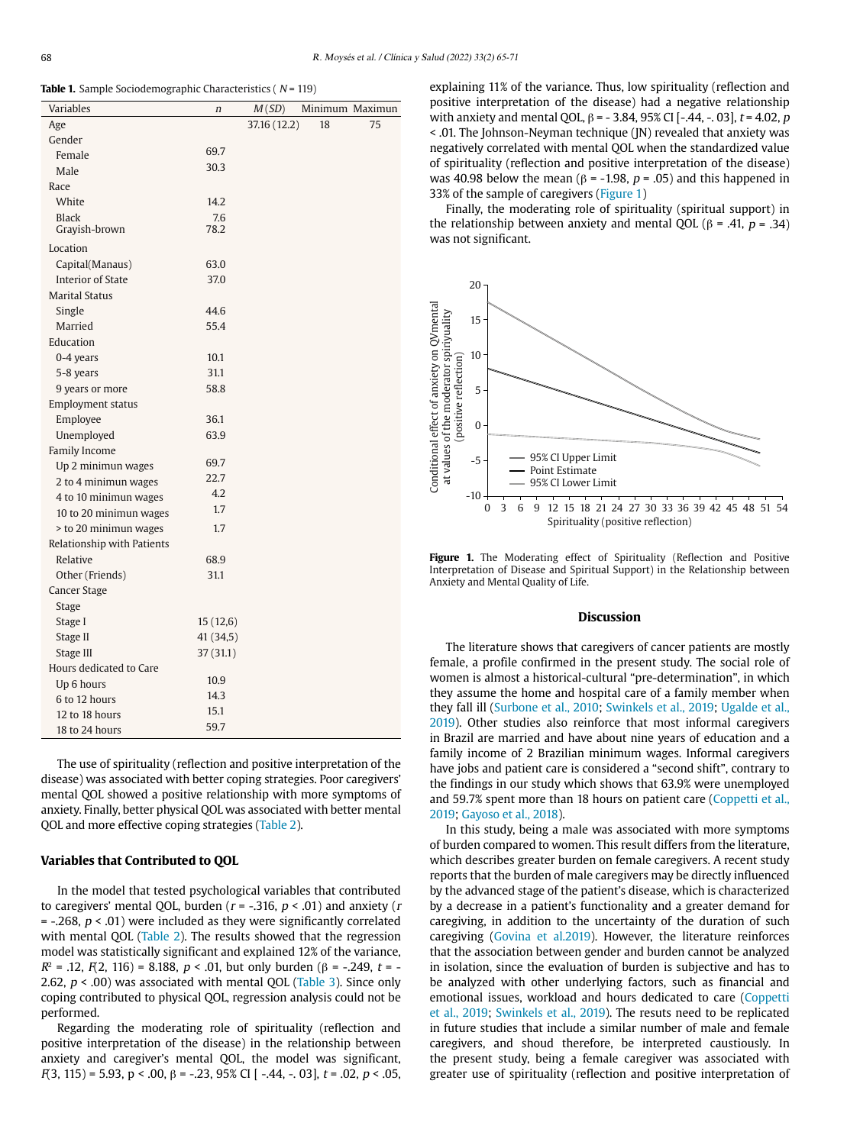**Table 1.** Sample Sociodemographic Characteristics ( $N = 119$ )

| Variables                  | $\boldsymbol{n}$ | M(SD)        |    | Minimum Maximun |
|----------------------------|------------------|--------------|----|-----------------|
| Age                        |                  | 37.16 (12.2) | 18 | 75              |
| Gender                     |                  |              |    |                 |
| Female                     | 69.7             |              |    |                 |
| Male                       | 30.3             |              |    |                 |
| Race                       |                  |              |    |                 |
| White                      | 14.2             |              |    |                 |
| <b>Black</b>               | 7.6              |              |    |                 |
| Grayish-brown              | 78.2             |              |    |                 |
| Location                   |                  |              |    |                 |
| Capital(Manaus)            | 63.0             |              |    |                 |
| <b>Interior of State</b>   | 37.0             |              |    |                 |
| <b>Marital Status</b>      |                  |              |    |                 |
| Single                     | 44.6             |              |    |                 |
| Married                    | 55.4             |              |    |                 |
| Education                  |                  |              |    |                 |
| 0-4 years                  | 10.1             |              |    |                 |
| 5-8 years                  | 31.1             |              |    |                 |
| 9 years or more            | 58.8             |              |    |                 |
| Employment status          |                  |              |    |                 |
| Employee                   | 36.1             |              |    |                 |
| Unemployed                 | 63.9             |              |    |                 |
| Family Income              |                  |              |    |                 |
| Up 2 minimun wages         | 69.7             |              |    |                 |
| 2 to 4 minimun wages       | 22.7             |              |    |                 |
| 4 to 10 minimun wages      | 4.2              |              |    |                 |
| 10 to 20 minimun wages     | 1.7              |              |    |                 |
| > to 20 minimun wages      | 1.7              |              |    |                 |
| Relationship with Patients |                  |              |    |                 |
| Relative                   | 68.9             |              |    |                 |
| Other (Friends)            | 31.1             |              |    |                 |
| Cancer Stage               |                  |              |    |                 |
| Stage                      |                  |              |    |                 |
| Stage I                    | 15(12,6)         |              |    |                 |
| Stage II                   | 41 (34,5)        |              |    |                 |
| Stage III                  | 37 (31.1)        |              |    |                 |
| Hours dedicated to Care    |                  |              |    |                 |
| Up 6 hours                 | 10.9             |              |    |                 |
| 6 to 12 hours              | 14.3             |              |    |                 |
| 12 to 18 hours             | 15.1             |              |    |                 |
| 18 to 24 hours             | 59.7             |              |    |                 |

The use of spirituality (reflection and positive interpretation of the disease) was associated with better coping strategies. Poor caregivers' mental QOL showed a positive relationship with more symptoms of anxiety. Finally, better physical QOL was associated with better mental QOL and more effective coping strategies (Table 2).

#### **Variables that Contributed to QOL**

In the model that tested psychological variables that contributed to caregivers' mental QOL, burden ( $r = -0.316$ ,  $p < 0.01$ ) and anxiety ( $r = 0.01$ )  $=$  -.268,  $p < .01$ ) were included as they were significantly correlated with mental QOL (Table 2). The results showed that the regression model was statistically significant and explained 12% of the variance,  $R^2$  = .12,  $F(2, 116)$  = 8.188,  $p < .01$ , but only burden ( $\beta$  = -.249,  $t$  = -2.62,  $p < .00$ ) was associated with mental QOL (Table 3). Since only coping contributed to physical QOL, regression analysis could not be performed.

Regarding the moderating role of spirituality (reflection and positive interpretation of the disease) in the relationship between anxiety and caregiver's mental QOL, the model was significant,  $F(3, 115) = 5.93$ ,  $p < .00$ ,  $\beta = -.23$ ,  $95\%$  CI [ -.44, -. 03],  $t = .02$ ,  $p < .05$ , explaining 11% of the variance. Thus, low spirituality (reflection and positive interpretation of the disease) had a negative relationship with anxiety and mental OOL,  $\beta$  = - 3.84, 95% CI [-.44, -, 03], t = 4.02, p < .01. The Johnson-Neyman technique (JN) revealed that anxiety was negatively correlated with mental QOL when the standardized value of spirituality (reflection and positive interpretation of the disease) was 40.98 below the mean ( $β = -1.98$ ,  $p = .05$ ) and this happened in 33% of the sample of caregivers (Figure 1)

Finally, the moderating role of spirituality (spiritual support) in the relationship between anxiety and mental QOL (β = .41,  $p = .34$ ) was not significant.



Figure 1. The Moderating effect of Spirituality (Reflection and Positive Interpretation of Disease and Spiritual Support) in the Relationship between Anxiety and Mental Quality of Life.

#### **Discussion**

The literature shows that caregivers of cancer patients are mostly female, a profile confirmed in the present study. The social role of women is almost a historical-cultural "pre-determination", in which they assume the home and hospital care of a family member when they fall ill (Surbone et al., 2010; Swinkels et al., 2019; Ugalde et al., 2019). Other studies also reinforce that most informal caregivers in Brazil are married and have about nine years of education and a family income of 2 Brazilian minimum wages. Informal caregivers have jobs and patient care is considered a "second shift", contrary to the findings in our study which shows that 63.9% were unemployed and 59.7% spent more than 18 hours on patient care (Coppetti et al., 2019; Gayoso et al., 2018).

In this study, being a male was associated with more symptoms of burden compared to women. This result differs from the literature, which describes greater burden on female caregivers. A recent study reports that the burden of male caregivers may be directly influenced by the advanced stage of the patient's disease, which is characterized by a decrease in a patient's functionality and a greater demand for caregiving, in addition to the uncertainty of the duration of such caregiving (Govina et al.2019). However, the literature reinforces that the association between gender and burden cannot be analyzed in isolation, since the evaluation of burden is subjective and has to be analyzed with other underlying factors, such as financial and emotional issues, workload and hours dedicated to care (Coppetti et al., 2019; Swinkels et al., 2019). The resuts need to be replicated in future studies that include a similar number of male and female caregivers, and shoud therefore, be interpreted caustiously. In the present study, being a female caregiver was associated with greater use of spirituality (reflection and positive interpretation of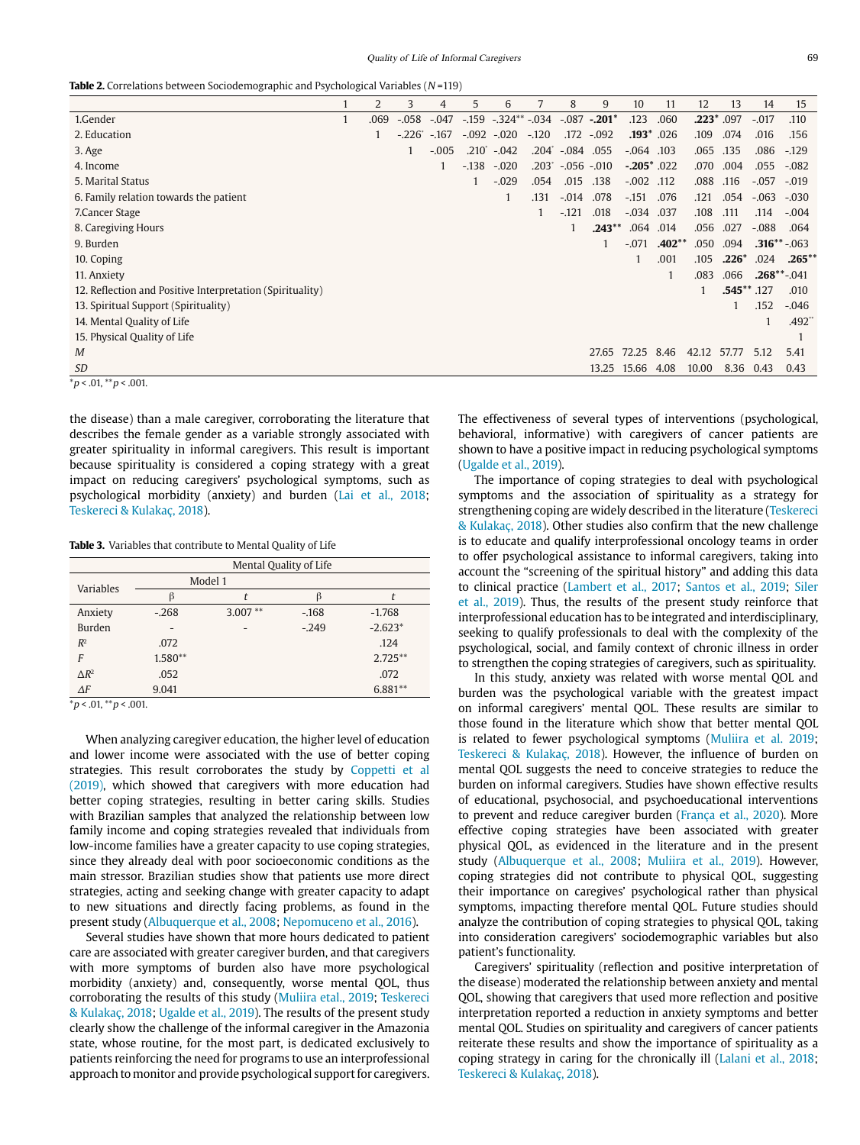**Table 2.** Correlations between Sociodemographic and Psychological Variables (N=119)

|                                                           |   | 2    | 3        | 4       | 5            | 6                         |                | 8       | 9             | 10                | 11           | 12    | 13           | 14      | 15                |
|-----------------------------------------------------------|---|------|----------|---------|--------------|---------------------------|----------------|---------|---------------|-------------------|--------------|-------|--------------|---------|-------------------|
| 1.Gender                                                  | 1 | .069 | $-.058$  | $-.047$ |              | $-.159$ $-.324**$ $-.034$ |                |         | $-.087-.201*$ | .123              | .060         |       | $.223*$ .097 | $-.017$ | .110              |
| 2. Education                                              |   |      | $-.226"$ | $-167$  |              | $-.092-.020$              | $-120$         |         | .172 -.092    |                   | $.193*$ .026 | .109  | .074         | .016    | .156              |
| 3. Age                                                    |   |      |          | $-.005$ | $.210^\circ$ | $-0.042$                  | $.204^{\circ}$ | $-.084$ | .055          | $-.064$ .103      |              | .065  | .135         | .086    | $-129$            |
| 4. Income                                                 |   |      |          |         | $-.138$      | $-.020$                   | $.203^{\circ}$ |         | $-.056-.010$  | $-0.205$ $*$ .022 |              | .070  | .004         | .055    | $-.082$           |
| 5. Marital Status                                         |   |      |          |         |              | $-.029$                   | .054           | .015    | .138          | $-.002$ .112      |              | .088  | .116         | $-.057$ | $-.019$           |
| 6. Family relation towards the patient                    |   |      |          |         |              |                           | .131           | $-.014$ | .078          | $-.151$           | .076         | .121  | .054         | $-.063$ | $-.030$           |
| 7. Cancer Stage                                           |   |      |          |         |              |                           |                | $-.121$ | .018          | $-.034$           | .037         | .108  | .111         | .114    | $-.004$           |
| 8. Caregiving Hours                                       |   |      |          |         |              |                           |                |         | $.243***$     | .064              | .014         | .056  | .027         | $-.088$ | .064              |
| 9. Burden                                                 |   |      |          |         |              |                           |                |         |               | $-.071$           | $.402**$     | .050  | .094         |         | $.316***-.063$    |
| 10. Coping                                                |   |      |          |         |              |                           |                |         |               |                   | .001         | .105  | $.226*$      | .024    | $.265***$         |
| 11. Anxiety                                               |   |      |          |         |              |                           |                |         |               |                   |              | .083  | .066         |         | $.268^{**}$ -.041 |
| 12. Reflection and Positive Interpretation (Spirituality) |   |      |          |         |              |                           |                |         |               |                   |              |       | .545** .127  |         | .010              |
| 13. Spiritual Support (Spirituality)                      |   |      |          |         |              |                           |                |         |               |                   |              |       |              | .152    | $-.046$           |
| 14. Mental Quality of Life                                |   |      |          |         |              |                           |                |         |               |                   |              |       |              |         | .492"             |
| 15. Physical Quality of Life                              |   |      |          |         |              |                           |                |         |               |                   |              |       |              |         |                   |
| M                                                         |   |      |          |         |              |                           |                |         | 27.65         | 72.25             | 8.46         | 42.12 | 57.77        | 5.12    | 5.41              |
| <b>SD</b>                                                 |   |      |          |         |              |                           |                |         | 13.25 15.66   |                   | 4.08         | 10.00 | 8.36         | 0.43    | 0.43              |
| $p < .01,$ ** $p < .001$ .                                |   |      |          |         |              |                           |                |         |               |                   |              |       |              |         |                   |

the disease) than a male caregiver, corroborating the literature that describes the female gender as a variable strongly associated with greater spirituality in informal caregivers. This result is important because spirituality is considered a coping strategy with a great impact on reducing caregivers' psychological symptoms, such as psychological morbidity (anxiety) and burden (Lai et al., 2018; Teskereci & Kulakaç, 2018).

**Table 3.** Variables that contribute to Mental Quality of Life

| Mental Quality of Life |           |           |          |            |  |  |  |
|------------------------|-----------|-----------|----------|------------|--|--|--|
| <b>Variables</b>       | Model 1   |           |          |            |  |  |  |
|                        |           |           | ß        |            |  |  |  |
| Anxiety                | $-268$    | $3.007**$ | $-168$   | $-1.768$   |  |  |  |
| <b>Burden</b>          |           |           | $-0.249$ | $-2.623*$  |  |  |  |
| $R^2$                  | .072      |           |          | .124       |  |  |  |
| F                      | $1.580**$ |           |          | $2.725***$ |  |  |  |
| $\triangle R^2$        | .052      |           |          | .072       |  |  |  |
| $\Delta F$             | 9.041     |           |          | $6.881**$  |  |  |  |

 $*p < .01, **p < .001.$ 

When analyzing caregiver education, the higher level of education and lower income were associated with the use of better coping strategies. This result corroborates the study by Coppetti et al (2019), which showed that caregivers with more education had better coping strategies, resulting in better caring skills. Studies with Brazilian samples that analyzed the relationship between low family income and coping strategies revealed that individuals from low-income families have a greater capacity to use coping strategies, since they already deal with poor socioeconomic conditions as the main stressor. Brazilian studies show that patients use more direct strategies, acting and seeking change with greater capacity to adapt to new situations and directly facing problems, as found in the present study (Albuquerque et al., 2008; Nepomuceno et al., 2016).

Several studies have shown that more hours dedicated to patient care are associated with greater caregiver burden, and that caregivers with more symptoms of burden also have more psychological morbidity (anxiety) and, consequently, worse mental QOL, thus corroborating the results of this study (Muliira etal., 2019; Teskereci & Kulakaç, 2018; Ugalde et al., 2019). The results of the present study clearly show the challenge of the informal caregiver in the Amazonia state, whose routine, for the most part, is dedicated exclusively to patients reinforcing the need for programs to use an interprofessional approach to monitor and provide psychological support for caregivers.

The effectiveness of several types of interventions (psychological, behavioral, informative) with caregivers of cancer patients are shown to have a positive impact in reducing psychological symptoms (Ugalde et al., 2019).

The importance of coping strategies to deal with psychological symptoms and the association of spirituality as a strategy for strengthening coping are widely described in the literature (Teskereci & Kulakaç, 2018). Other studies also confirm that the new challenge is to educate and qualify interprofessional oncology teams in order to offer psychological assistance to informal caregivers, taking into account the "screening of the spiritual history" and adding this data to clinical practice (Lambert et al., 2017; Santos et al., 2019; Siler et al., 2019). Thus, the results of the present study reinforce that interprofessional education has to be integrated and interdisciplinary, seeking to qualify professionals to deal with the complexity of the psychological, social, and family context of chronic illness in order to strengthen the coping strategies of caregivers, such as spirituality.

In this study, anxiety was related with worse mental QOL and burden was the psychological variable with the greatest impact on informal caregivers' mental QOL. These results are similar to those found in the literature which show that better mental QOL is related to fewer psychological symptoms (Muliira et al. 2019; Teskereci & Kulakaç, 2018). However, the influence of burden on mental QOL suggests the need to conceive strategies to reduce the burden on informal caregivers. Studies have shown effective results of educational, psychosocial, and psychoeducational interventions to prevent and reduce caregiver burden (França et al., 2020). More effective coping strategies have been associated with greater physical QOL, as evidenced in the literature and in the present study (Albuquerque et al., 2008; Muliira et al., 2019). However, coping strategies did not contribute to physical QOL, suggesting their importance on caregives' psychological rather than physical symptoms, impacting therefore mental QOL. Future studies should analyze the contribution of coping strategies to physical QOL, taking into consideration caregivers' sociodemographic variables but also patient's functionality.

Caregivers' spirituality (reflection and positive interpretation of the disease) moderated the relationship between anxiety and mental QOL, showing that caregivers that used more reflection and positive interpretation reported a reduction in anxiety symptoms and better mental QOL. Studies on spirituality and caregivers of cancer patients reiterate these results and show the importance of spirituality as a coping strategy in caring for the chronically ill (Lalani et al., 2018; Teskereci & Kulakaç, 2018).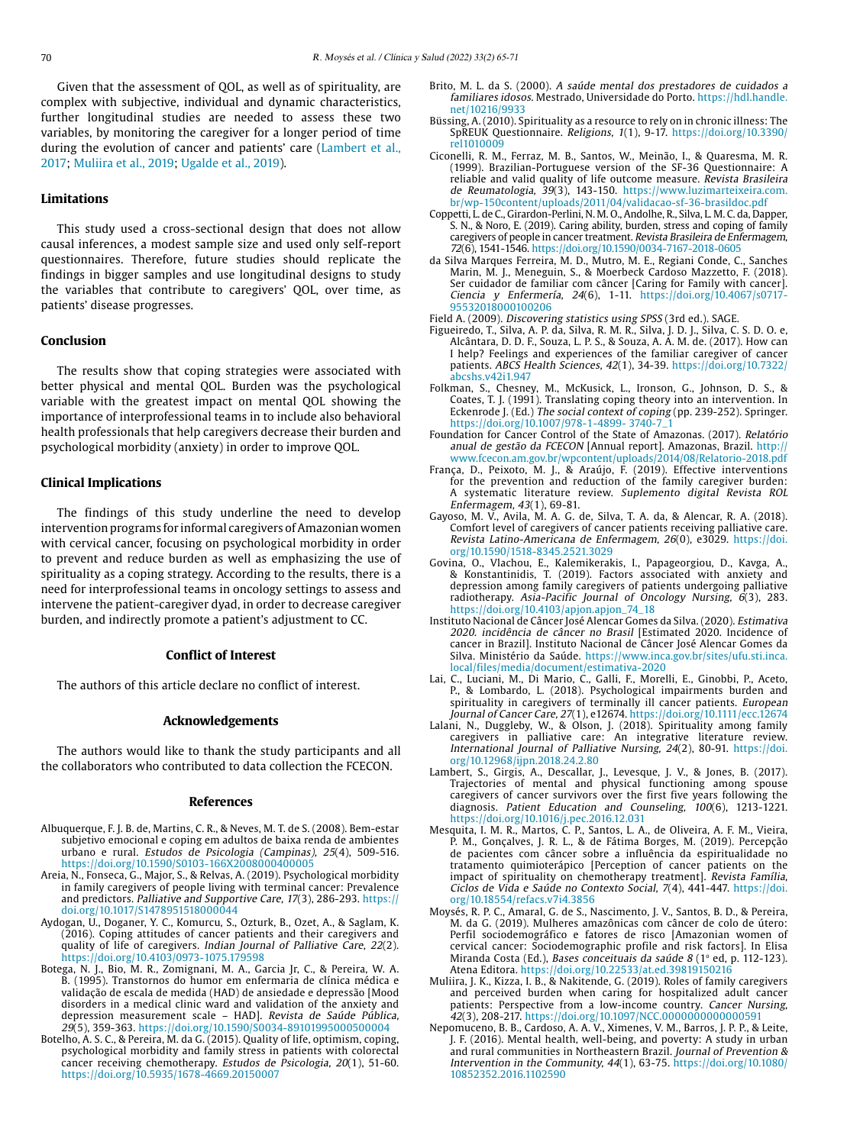Given that the assessment of QOL, as well as of spirituality, are complex with subjective, individual and dynamic characteristics, further longitudinal studies are needed to assess these two variables, by monitoring the caregiver for a longer period of time during the evolution of cancer and patients' care (Lambert et al., 2017; Muliira et al., 2019; Ugalde et al., 2019).

# **Limitations**

This study used a cross-sectional design that does not allow causal inferences, a modest sample size and used only self-report questionnaires. Therefore, future studies should replicate the findings in bigger samples and use longitudinal designs to study the variables that contribute to caregivers' QOL, over time, as patients' disease progresses.

# **Conclusion**

The results show that coping strategies were associated with better physical and mental QOL. Burden was the psychological variable with the greatest impact on mental QOL showing the importance of interprofessional teams in to include also behavioral health professionals that help caregivers decrease their burden and psychological morbidity (anxiety) in order to improve QOL.

#### **Clinical Implications**

The findings of this study underline the need to develop intervention programs for informal caregivers of Amazonian women with cervical cancer, focusing on psychological morbidity in order to prevent and reduce burden as well as emphasizing the use of spirituality as a coping strategy. According to the results, there is a need for interprofessional teams in oncology settings to assess and intervene the patient-caregiver dyad, in order to decrease caregiver burden, and indirectly promote a patient's adjustment to CC.

#### **Conflict of Interest**

The authors of this article declare no conflict of interest.

# **Acknowledgements**

The authors would like to thank the study participants and all the collaborators who contributed to data collection the FCECON.

#### **References**

- Albuquerque, F. J. B. de, Martins, C. R., & Neves, M. T. de S. (2008). Bem-estar subjetivo emocional e coping em adultos de baixa renda de ambientes urbano e rural. Estudos de Psicologia (Campinas), 25(4), 509-516. <https://doi.org/10.1590/S0103-166X2008000400005>
- Areia, N., Fonseca, G., Major, S., & Relvas, A. (2019). Psychological morbidity in family caregivers of people living with terminal cancer: Prevalence and predictors. Palliative and Supportive Care, 17(3), 286-293. [https://](https://doi.org/10.1017/S1478951518000044) [doi.org/10.1017/S1478951518000044](https://doi.org/10.1017/S1478951518000044)
- Aydogan, U., Doganer, Y. C., Komurcu, S., Ozturk, B., Ozet, A., & Saglam, K. (2016). Coping attitudes of cancer patients and their caregivers and quality of life of caregivers. Indian Journal of Palliative Care, 22(2). <https://doi.org/10.4103/0973-1075.179598>
- Botega, N. J., Bio, M. R., Zomignani, M. A., Garcia Jr, C., & Pereira, W. A. B. (1995). Transtornos do humor em enfermaria de clínica médica e validação de escala de medida (HAD) de ansiedade e depressão [Mood disorders in a medical clinic ward and validation of the anxiety and depression measurement scale – HAD]. Revista de Saúde Pública, 29(5), 359-363. <https://doi.org/10.1590/S0034-89101995000500004>
- Botelho, A. S. C., & Pereira, M. da G. (2015). Quality of life, optimism, coping, psychological morbidity and family stress in patients with colorectal cancer receiving chemotherapy. Estudos de Psicologia, 20(1), 51-60. <https://doi.org/10.5935/1678-4669.20150007>
- Brito, M. L. da S. (2000). A saúde mental dos prestadores de cuidados a familiares idosos. Mestrado, Universidade do Porto. [https://hdl.handle.](https://hdl.handle.net/10216/9933) [net/10216/9933](https://hdl.handle.net/10216/9933)
- Büssing, A. (2010). Spirituality as a resource to rely on in chronic illness: The SpREUK Questionnaire. Religions, 1(1), 9-17. [https://doi.org/10.3390/](https://doi.org/10.3390/rel1010009) [rel1010009](https://doi.org/10.3390/rel1010009)
- Ciconelli, R. M., Ferraz, M. B., Santos, W., Meinão, I., & Quaresma, M. R. (1999). Brazilian-Portuguese version of the SF-36 Questionnaire: A reliable and valid quality of life outcome measure. Revista Brasileira de Reumatologia, 39(3), 143-150. [https://www.luzimarteixeira.com.](https://www.luzimarteixeira.com.br/wp-150content/uploads/2011/04/validacao-sf-36-brasildoc.pdf) [br/wp-150content/uploads/2011/04/validacao-sf-36-brasildoc.pdf](https://www.luzimarteixeira.com.br/wp-150content/uploads/2011/04/validacao-sf-36-brasildoc.pdf)
- Coppetti, L. de C., Girardon-Perlini, N. M. O., Andolhe, R., Silva, L. M. C. da, Dapper, S. N., & Noro, E. (2019). Caring ability, burden, stress and coping of family caregivers of people in cancer treatment. Revista Brasileira de Enfermagem, 72(6), 1541-1546.<https://doi.org/10.1590/0034-7167-2018-0605>
- da Silva Marques Ferreira, M. D., Mutro, M. E., Regiani Conde, C., Sanches Marin, M. J., Meneguin, S., & Moerbeck Cardoso Mazzetto, F. (2018). Ser cuidador de familiar com câncer [Caring for Family with cancer]. Ciencia y Enfermería, 24(6), 1-11. [https://doi.org/10.4067/s0717-](https://doi.org/10.4067/s0717-95532018000100206) [95532018000100206](https://doi.org/10.4067/s0717-95532018000100206)
- Field A. (2009). Discovering statistics using SPSS (3rd ed.). SAGE.
- Figueiredo, T., Silva, A. P. da, Silva, R. M. R., Silva, J. D. J., Silva, C. S. D. O. e, Alcântara, D. D. F., Souza, L. P. S., & Souza, A. A. M. de. (2017). How can I help? Feelings and experiences of the familiar caregiver of cancer patients. ABCS Health Sciences, 42(1), 34-39. [https://doi.org/10.7322/](https://doi.org/10.7322/abcshs.v42i1.947) [abcshs.v42i1.947](https://doi.org/10.7322/abcshs.v42i1.947)
- Folkman, S., Chesney, M., McKusick, L., Ironson, G., Johnson, D. S., & Coates, T. J. (1991). Translating coping theory into an intervention. In Eckenrode J. (Ed.) The social context of coping (pp. 239-252). Springer. [https://doi.org/10.1007/978-1-4899- 3740-7\\_1](https://doi.org/10.1007/978-1-4899- 3740-7_1)
- Foundation for Cancer Control of the State of Amazonas. (2017). Relatório anual de gestão da FCECON [Annual report]. Amazonas, Brazil. [http://](http://www.fcecon.am.gov.br/wpcontent/uploads/2014/08/Relatorio-2018.pdf) [www.fcecon.am.gov.br/wpcontent/uploads/2014/08/Relatorio-2018.pdf](http://www.fcecon.am.gov.br/wpcontent/uploads/2014/08/Relatorio-2018.pdf)
- França, D., Peixoto, M. J., & Araújo, F. (2019). Effective interventions for the prevention and reduction of the family caregiver burden: A systematic literature review. Suplemento digital Revista ROL Enfermagem, 43(1), 69-81.
- Gayoso, M. V., Avila, M. A. G. de, Silva, T. A. da, & Alencar, R. A. (2018). Comfort level of caregivers of cancer patients receiving palliative care. Revista Latino-Americana de Enfermagem, 26(0), e3029. [https://doi.](https://doi.org/10.1590/1518-8345.2521.3029) [org/10.1590/1518-8345.2521.3029](https://doi.org/10.1590/1518-8345.2521.3029)
- Govina, O., Vlachou, E., Kalemikerakis, I., Papageorgiou, D., Kavga, A., & Konstantinidis, T. (2019). Factors associated with anxiety and depression among family caregivers of patients undergoing palliative radiotherapy. Asia-Pacific Journal of Oncology Nursing,  $6(3)$ , 283. https://doi.org[/10.4103/apjon.apjon\\_74\\_18](https://dx.doi.org/10.4103%2Fapjon.apjon_74_18)
- Instituto Nacional de Câncer José Alencar Gomes da Silva. (2020). Estimativa 2020. incidência de câncer no Brasil [Estimated 2020. Incidence of cancer in Brazil]. Instituto Nacional de Câncer José Alencar Gomes da Silva. Ministério da Saúde. [https://www.inca.gov.br/sites/ufu.sti.inca.](https://www.inca.gov.br/sites/ufu.sti.inca.local/files/media/document/estimativa-2020) [local/files/media/document/estimativa-2020](https://www.inca.gov.br/sites/ufu.sti.inca.local/files/media/document/estimativa-2020)
- Lai, C., Luciani, M., Di Mario, C., Galli, F., Morelli, E., Ginobbi, P., Aceto, P., & Lombardo, L. (2018). Psychological impairments burden and spirituality in caregivers of terminally ill cancer patients. European Journal of Cancer Care, 27(1), e12674.<https://doi.org/10.1111/ecc.12674>
- Lalani, N., Duggleby, W., & Olson, J. (2018). Spirituality among family caregivers in palliative care: An integrative literature review. International Journal of Palliative Nursing, 24(2), 80-91. [https://doi.](https://doi.org/10.12968/ijpn.2018.24.2.80) [org/10.12968/ijpn.2018.24.2.80](https://doi.org/10.12968/ijpn.2018.24.2.80)
- Lambert, S., Girgis, A., Descallar, J., Levesque, J. V., & Jones, B. (2017). Trajectories of mental and physical functioning among spouse caregivers of cancer survivors over the first five years following the diagnosis. Patient Education and Counseling, 100(6), 1213-1221. <https://doi.org/10.1016/j.pec.2016.12.031>
- Mesquita, I. M. R., Martos, C. P., Santos, L. A., de Oliveira, A. F. M., Vieira, P. M., Gonçalves, J. R. L., & de Fátima Borges, M. (2019). Percepção de pacientes com câncer sobre a influência da espiritualidade no tratamento quimioterápico [Perception of cancer patients on the impact of spirituality on chemotherapy treatment]. Revista Família, Ciclos de Vida e Saúde no Contexto Social, 7(4), 441-447. [https://doi.](https://doi.org/10.18554/refacs.v7i4.3856) [org/10.18554/refacs.v7i4.3856](https://doi.org/10.18554/refacs.v7i4.3856)
- Moysés, R. P. C., Amaral, G. de S., Nascimento, J. V., Santos, B. D., & Pereira, M. da G. (2019). Mulheres amazônicas com câncer de colo de útero: Perfil sociodemográfico e fatores de risco [Amazonian women of cervical cancer: Sociodemographic profile and risk factors]. In Elisa Miranda Costa (Ed.), Bases conceituais da saúde 8 (1<sup>o</sup> ed, p. 112-123). Atena Editora. <https://doi.org/10.22533/at.ed.39819150216>
- Muliira, J. K., Kizza, I. B., & Nakitende, G. (2019). Roles of family caregivers and perceived burden when caring for hospitalized adult cancer patients: Perspective from a low-income country. Cancer Nursing, 42(3), 208-217. <https://doi.org/10.1097/NCC.0000000000000591>
- Nepomuceno, B. B., Cardoso, A. A. V., Ximenes, V. M., Barros, J. P. P., & Leite, J. F. (2016). Mental health, well-being, and poverty: A study in urban and rural communities in Northeastern Brazil. Journal of Prevention & Intervention in the Community, 44(1), 63-75. https://doi.org/[10.1080/](https://doi.org/10.1080/10852352.2016.1102590) [10852352.2016.1102590](https://doi.org/10.1080/10852352.2016.1102590)